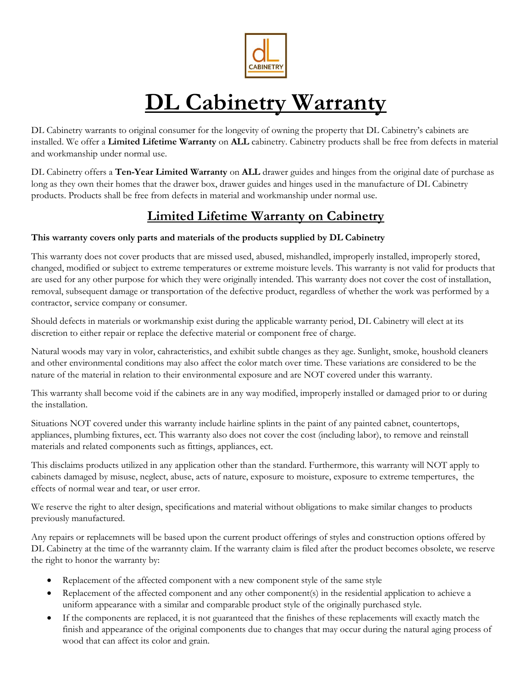

# **DL Cabinetry Warranty**

DL Cabinetry warrants to original consumer for the longevity of owning the property that DL Cabinetry's cabinets are installed. We offer a **Limited Lifetime Warranty** on **ALL** cabinetry. Cabinetry products shall be free from defects in material and workmanship under normal use.

DL Cabinetry offers a **Ten-Year Limited Warranty** on **ALL** drawer guides and hinges from the original date of purchase as long as they own their homes that the drawer box, drawer guides and hinges used in the manufacture of DL Cabinetry products. Products shall be free from defects in material and workmanship under normal use.

## **Limited Lifetime Warranty on Cabinetry**

### **This warranty covers only parts and materials of the products supplied by DL Cabinetry**

This warranty does not cover products that are missed used, abused, mishandled, improperly installed, improperly stored, changed, modified or subject to extreme temperatures or extreme moisture levels. This warranty is not valid for products that are used for any other purpose for which they were originally intended. This warranty does not cover the cost of installation, removal, subsequent damage or transportation of the defective product, regardless of whether the work was performed by a contractor, service company or consumer.

Should defects in materials or workmanship exist during the applicable warranty period, DL Cabinetry will elect at its discretion to either repair or replace the defective material or component free of charge.

Natural woods may vary in volor, cahracteristics, and exhibit subtle changes as they age. Sunlight, smoke, houshold cleaners and other environmental conditions may also affect the color match over time. These variations are considered to be the nature of the material in relation to their environmental exposure and are NOT covered under this warranty.

This warranty shall become void if the cabinets are in any way modified, improperly installed or damaged prior to or during the installation.

Situations NOT covered under this warranty include hairline splints in the paint of any painted cabnet, countertops, appliances, plumbing fixtures, ect. This warranty also does not cover the cost (including labor), to remove and reinstall materials and related components such as fittings, appliances, ect.

This disclaims products utilized in any application other than the standard. Furthermore, this warranty will NOT apply to cabinets damaged by misuse, neglect, abuse, acts of nature, exposure to moisture, exposure to extreme tempertures, the effects of normal wear and tear, or user error.

We reserve the right to alter design, specifications and material without obligations to make similar changes to products previously manufactured.

Any repairs or replacemnets will be based upon the current product offerings of styles and construction options offered by DL Cabinetry at the time of the warrannty claim. If the warranty claim is filed after the product becomes obsolete, we reserve the right to honor the warranty by:

- Replacement of the affected component with a new component style of the same style
- Replacement of the affected component and any other component(s) in the residential application to achieve a uniform appearance with a similar and comparable product style of the originally purchased style.
- If the components are replaced, it is not guaranteed that the finishes of these replacements will exactly match the finish and appearance of the original components due to changes that may occur during the natural aging process of wood that can affect its color and grain.